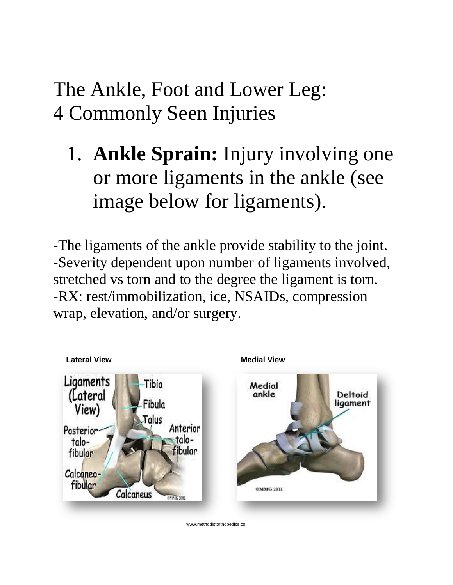## The Ankle, Foot and Lower Leg: 4 Commonly Seen Injuries

1. **Ankle Sprain:** Injury involving one or more ligaments in the ankle (see image below for ligaments).

-The ligaments of the ankle provide stability to the joint. -Severity dependent upon number of ligaments involved, stretched vs torn and to the degree the ligament is torn. -RX: rest/immobilization, ice, NSAIDs, compression wrap, elevation, and/or surgery.

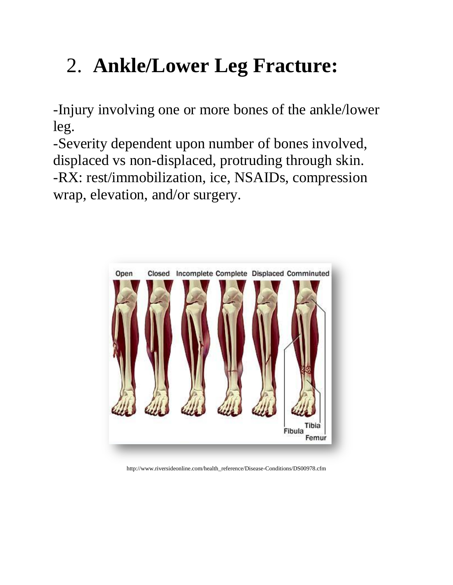## 2. **Ankle/Lower Leg Fracture:**

-Injury involving one or more bones of the ankle/lower leg.

-Severity dependent upon number of bones involved, displaced vs non-displaced, protruding through skin. -RX: rest/immobilization, ice, NSAIDs, compression wrap, elevation, and/or surgery.



http://www.riversideonline.com/health\_reference/Disease-Conditions/DS00978.cfm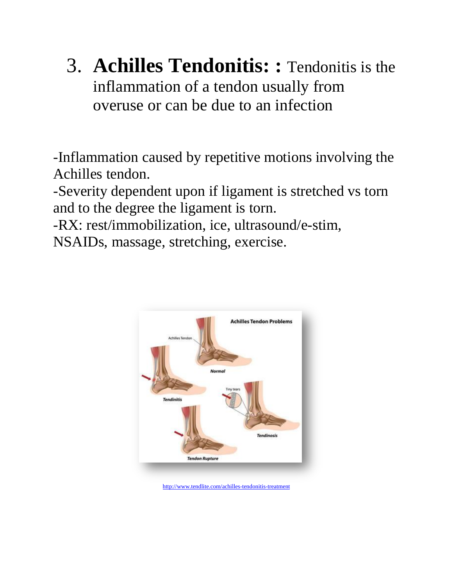3. **Achilles Tendonitis: :** Tendonitis is the inflammation of a tendon usually from overuse or can be due to an infection

-Inflammation caused by repetitive motions involving the Achilles tendon.

-Severity dependent upon if ligament is stretched vs torn and to the degree the ligament is torn.

-RX: rest/immobilization, ice, ultrasound/e-stim, NSAIDs, massage, stretching, exercise.



<http://www.tendlite.com/achilles-tendonitis-treatment>